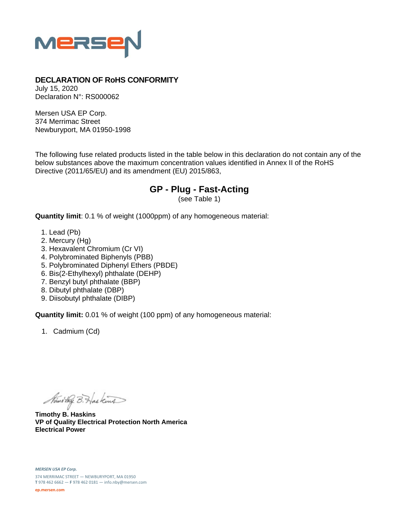

## **DECLARATION OF RoHS CONFORMITY**

July 15, 2020 Declaration N°: RS000062

Mersen USA EP Corp. 374 Merrimac Street Newburyport, MA 01950-1998

The following fuse related products listed in the table below in this declaration do not contain any of the below substances above the maximum concentration values identified in Annex II of the RoHS Directive (2011/65/EU) and its amendment (EU) 2015/863,

## **GP - Plug - Fast-Acting**

(see Table 1)

**Quantity limit**: 0.1 % of weight (1000ppm) of any homogeneous material:

- 1. Lead (Pb)
- 2. Mercury (Hg)
- 3. Hexavalent Chromium (Cr VI)
- 4. Polybrominated Biphenyls (PBB)
- 5. Polybrominated Diphenyl Ethers (PBDE)
- 6. Bis(2-Ethylhexyl) phthalate (DEHP)
- 7. Benzyl butyl phthalate (BBP)
- 8. Dibutyl phthalate (DBP)
- 9. Diisobutyl phthalate (DIBP)

**Quantity limit:** 0.01 % of weight (100 ppm) of any homogeneous material:

1. Cadmium (Cd)

Ministry B. Haskins

**Timothy B. Haskins VP of Quality Electrical Protection North America Electrical Power**